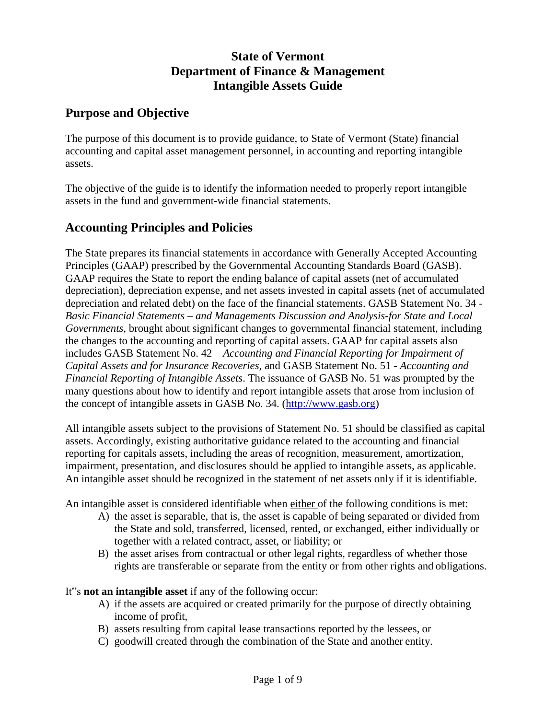# **State of Vermont Department of Finance & Management Intangible Assets Guide**

# **Purpose and Objective**

The purpose of this document is to provide guidance, to State of Vermont (State) financial accounting and capital asset management personnel, in accounting and reporting intangible assets.

The objective of the guide is to identify the information needed to properly report intangible assets in the fund and government-wide financial statements.

# **Accounting Principles and Policies**

The State prepares its financial statements in accordance with Generally Accepted Accounting Principles (GAAP) prescribed by the Governmental Accounting Standards Board (GASB). GAAP requires the State to report the ending balance of capital assets (net of accumulated depreciation), depreciation expense, and net assets invested in capital assets (net of accumulated depreciation and related debt) on the face of the financial statements. GASB Statement No. 34 - *Basic Financial Statements – and Managements Discussion and Analysis-for State and Local Governments,* brought about significant changes to governmental financial statement, including the changes to the accounting and reporting of capital assets. GAAP for capital assets also includes GASB Statement No. 42 – *Accounting and Financial Reporting for Impairment of Capital Assets and for Insurance Recoveries,* and GASB Statement No. 51 - *Accounting and Financial Reporting of Intangible Assets*. The issuance of GASB No. 51 was prompted by the many questions about how to identify and report intangible assets that arose from inclusion of the concept of intangible assets in GASB No. 34. [\(http://www.gasb.org\)](http://www.gasb.org/)

All intangible assets subject to the provisions of Statement No. 51 should be classified as capital assets. Accordingly, existing authoritative guidance related to the accounting and financial reporting for capitals assets, including the areas of recognition, measurement, amortization, impairment, presentation, and disclosures should be applied to intangible assets, as applicable. An intangible asset should be recognized in the statement of net assets only if it is identifiable.

An intangible asset is considered identifiable when either of the following conditions is met:

- A) the asset is separable, that is, the asset is capable of being separated or divided from the State and sold, transferred, licensed, rented, or exchanged, either individually or together with a related contract, asset, or liability; or
- B) the asset arises from contractual or other legal rights, regardless of whether those rights are transferable or separate from the entity or from other rights and obligations.

It"s **not an intangible asset** if any of the following occur:

- A) if the assets are acquired or created primarily for the purpose of directly obtaining income of profit,
- B) assets resulting from capital lease transactions reported by the lessees, or
- C) goodwill created through the combination of the State and another entity.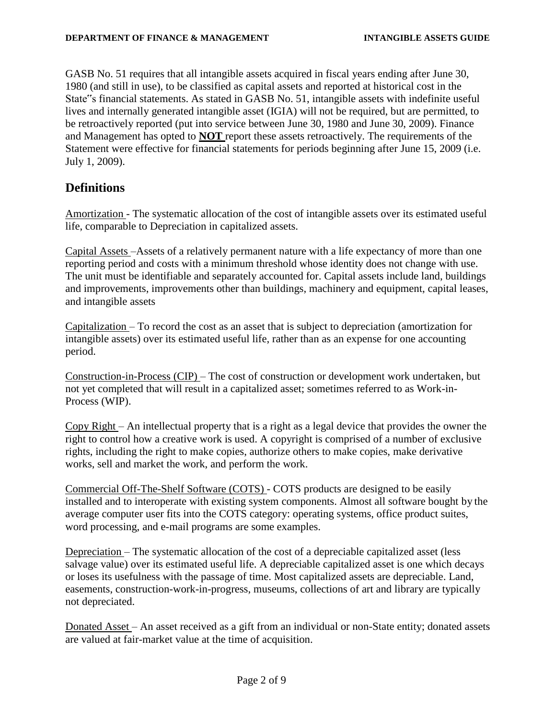GASB No. 51 requires that all intangible assets acquired in fiscal years ending after June 30, 1980 (and still in use), to be classified as capital assets and reported at historical cost in the State"s financial statements. As stated in GASB No. 51, intangible assets with indefinite useful lives and internally generated intangible asset (IGIA) will not be required, but are permitted, to be retroactively reported (put into service between June 30, 1980 and June 30, 2009). Finance and Management has opted to **NOT** report these assets retroactively. The requirements of the Statement were effective for financial statements for periods beginning after June 15, 2009 (i.e. July 1, 2009).

## **Definitions**

Amortization - The systematic allocation of the cost of intangible assets over its estimated useful life, comparable to Depreciation in capitalized assets.

Capital Assets –Assets of a relatively permanent nature with a life expectancy of more than one reporting period and costs with a minimum threshold whose identity does not change with use. The unit must be identifiable and separately accounted for. Capital assets include land, buildings and improvements, improvements other than buildings, machinery and equipment, capital leases, and intangible assets

Capitalization – To record the cost as an asset that is subject to depreciation (amortization for intangible assets) over its estimated useful life, rather than as an expense for one accounting period.

Construction-in-Process (CIP) – The cost of construction or development work undertaken, but not yet completed that will result in a capitalized asset; sometimes referred to as Work-in-Process (WIP).

Copy Right – An intellectual property that is a right as a legal device that provides the owner the right to control how a creative work is used. A copyright is comprised of a number of exclusive rights, including the right to make copies, authorize others to make copies, make derivative works, sell and market the work, and perform the work.

Commercial Off-The-Shelf Software (COTS) - COTS products are designed to be easily installed and to interoperate with existing system components. Almost all software bought by the average computer user fits into the COTS category: operating systems, office product suites, word processing, and e-mail programs are some examples.

Depreciation – The systematic allocation of the cost of a depreciable capitalized asset (less salvage value) over its estimated useful life. A depreciable capitalized asset is one which decays or loses its usefulness with the passage of time. Most capitalized assets are depreciable. Land, easements, construction-work-in-progress, museums, collections of art and library are typically not depreciated.

Donated Asset – An asset received as a gift from an individual or non-State entity; donated assets are valued at fair-market value at the time of acquisition.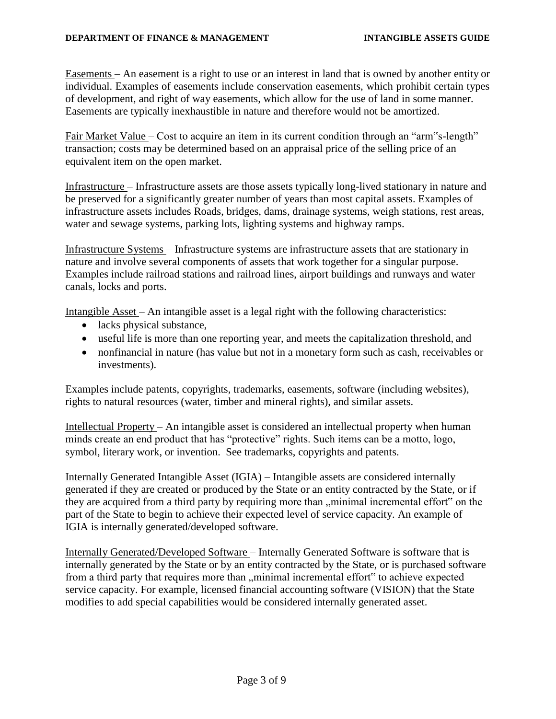Easements – An easement is a right to use or an interest in land that is owned by another entity or individual. Examples of easements include conservation easements, which prohibit certain types of development, and right of way easements, which allow for the use of land in some manner. Easements are typically inexhaustible in nature and therefore would not be amortized.

Fair Market Value – Cost to acquire an item in its current condition through an "arm"s-length" transaction; costs may be determined based on an appraisal price of the selling price of an equivalent item on the open market.

Infrastructure – Infrastructure assets are those assets typically long-lived stationary in nature and be preserved for a significantly greater number of years than most capital assets. Examples of infrastructure assets includes Roads, bridges, dams, drainage systems, weigh stations, rest areas, water and sewage systems, parking lots, lighting systems and highway ramps.

Infrastructure Systems – Infrastructure systems are infrastructure assets that are stationary in nature and involve several components of assets that work together for a singular purpose. Examples include railroad stations and railroad lines, airport buildings and runways and water canals, locks and ports.

Intangible Asset – An intangible asset is a legal right with the following characteristics:

- lacks physical substance,
- useful life is more than one reporting year, and meets the capitalization threshold, and
- nonfinancial in nature (has value but not in a monetary form such as cash, receivables or investments).

Examples include patents, copyrights, trademarks, easements, software (including websites), rights to natural resources (water, timber and mineral rights), and similar assets.

Intellectual Property – An intangible asset is considered an intellectual property when human minds create an end product that has "protective" rights. Such items can be a motto, logo, symbol, literary work, or invention. See trademarks, copyrights and patents.

Internally Generated Intangible Asset (IGIA) – Intangible assets are considered internally generated if they are created or produced by the State or an entity contracted by the State, or if they are acquired from a third party by requiring more than "minimal incremental effort" on the part of the State to begin to achieve their expected level of service capacity. An example of IGIA is internally generated/developed software.

Internally Generated/Developed Software – Internally Generated Software is software that is internally generated by the State or by an entity contracted by the State, or is purchased software from a third party that requires more than "minimal incremental effort" to achieve expected service capacity. For example, licensed financial accounting software (VISION) that the State modifies to add special capabilities would be considered internally generated asset.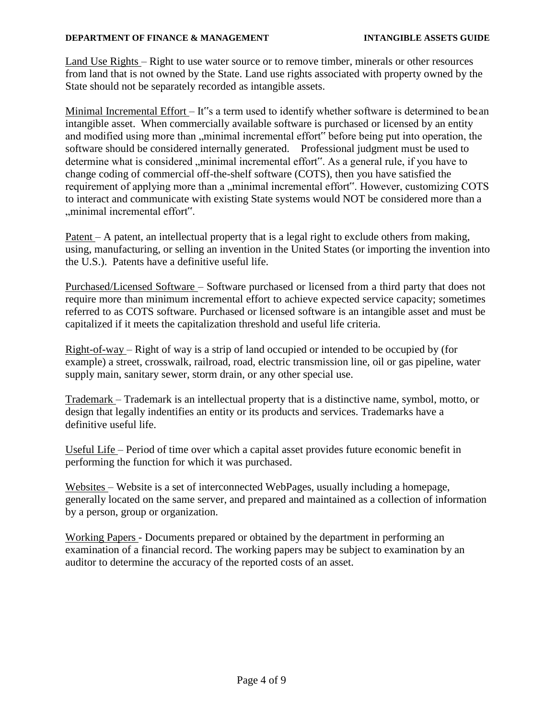#### **DEPARTMENT OF FINANCE & MANAGEMENT INTANGIBLE ASSETS GUIDE**

Land Use Rights – Right to use water source or to remove timber, minerals or other resources from land that is not owned by the State. Land use rights associated with property owned by the State should not be separately recorded as intangible assets.

Minimal Incremental Effort – It"s a term used to identify whether software is determined to be an intangible asset. When commercially available software is purchased or licensed by an entity and modified using more than , minimal incremental effort" before being put into operation, the software should be considered internally generated. Professional judgment must be used to determine what is considered , minimal incremental effort". As a general rule, if you have to change coding of commercial off-the-shelf software (COTS), then you have satisfied the requirement of applying more than a "minimal incremental effort". However, customizing COTS to interact and communicate with existing State systems would NOT be considered more than a "minimal incremental effort".

Patent – A patent, an intellectual property that is a legal right to exclude others from making, using, manufacturing, or selling an invention in the United States (or importing the invention into the U.S.). Patents have a definitive useful life.

Purchased/Licensed Software – Software purchased or licensed from a third party that does not require more than minimum incremental effort to achieve expected service capacity; sometimes referred to as COTS software. Purchased or licensed software is an intangible asset and must be capitalized if it meets the capitalization threshold and useful life criteria.

Right-of-way – Right of way is a strip of land occupied or intended to be occupied by (for example) a street, crosswalk, railroad, road, electric transmission line, oil or gas pipeline, water supply main, sanitary sewer, storm drain, or any other special use.

Trademark – Trademark is an intellectual property that is a distinctive name, symbol, motto, or design that legally indentifies an entity or its products and services. Trademarks have a definitive useful life.

Useful Life – Period of time over which a capital asset provides future economic benefit in performing the function for which it was purchased.

Websites – Website is a set of interconnected WebPages, usually including a homepage, generally located on the same server, and prepared and maintained as a collection of information by a person, group or organization.

Working Papers - Documents prepared or obtained by the department in performing an examination of a financial record. The working papers may be subject to examination by an auditor to determine the accuracy of the reported costs of an asset.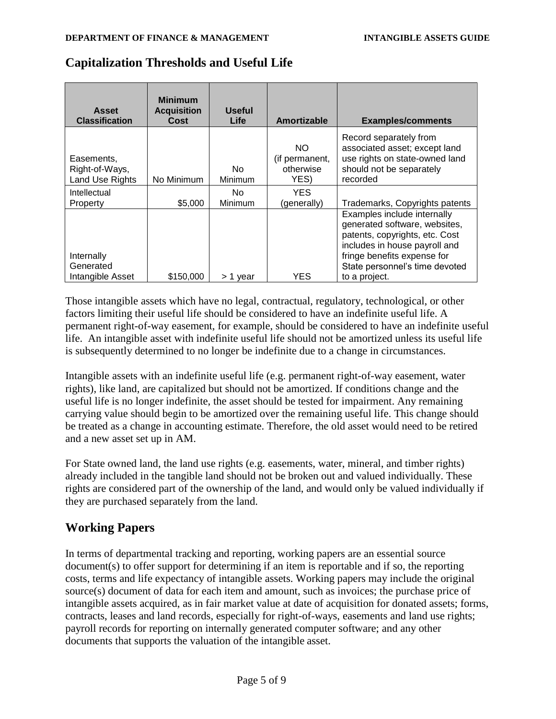| Asset<br><b>Classification</b>                  | <b>Minimum</b><br><b>Acquisition</b><br>Cost | Useful<br><b>Life</b> | Amortizable                                | <b>Examples/comments</b>                                                                                                                                                                         |
|-------------------------------------------------|----------------------------------------------|-----------------------|--------------------------------------------|--------------------------------------------------------------------------------------------------------------------------------------------------------------------------------------------------|
| Easements,<br>Right-of-Ways,<br>Land Use Rights | No Minimum                                   | No.<br>Minimum        | NO.<br>(if permanent,<br>otherwise<br>YES) | Record separately from<br>associated asset; except land<br>use rights on state-owned land<br>should not be separately<br>recorded                                                                |
| Intellectual                                    |                                              | No.                   | YES.                                       |                                                                                                                                                                                                  |
| Property                                        | \$5,000                                      | Minimum               | (generally)                                | Trademarks, Copyrights patents                                                                                                                                                                   |
| Internally<br>Generated                         |                                              |                       |                                            | Examples include internally<br>generated software, websites,<br>patents, copyrights, etc. Cost<br>includes in house payroll and<br>fringe benefits expense for<br>State personnel's time devoted |
| Intangible Asset                                | \$150,000                                    | > 1 year              | YES                                        | to a project.                                                                                                                                                                                    |

## **Capitalization Thresholds and Useful Life**

Those intangible assets which have no legal, contractual, regulatory, technological, or other factors limiting their useful life should be considered to have an indefinite useful life. A permanent right-of-way easement, for example, should be considered to have an indefinite useful life. An intangible asset with indefinite useful life should not be amortized unless its useful life is subsequently determined to no longer be indefinite due to a change in circumstances.

Intangible assets with an indefinite useful life (e.g. permanent right-of-way easement, water rights), like land, are capitalized but should not be amortized. If conditions change and the useful life is no longer indefinite, the asset should be tested for impairment. Any remaining carrying value should begin to be amortized over the remaining useful life. This change should be treated as a change in accounting estimate. Therefore, the old asset would need to be retired and a new asset set up in AM.

For State owned land, the land use rights (e.g. easements, water, mineral, and timber rights) already included in the tangible land should not be broken out and valued individually. These rights are considered part of the ownership of the land, and would only be valued individually if they are purchased separately from the land.

# **Working Papers**

In terms of departmental tracking and reporting, working papers are an essential source document(s) to offer support for determining if an item is reportable and if so, the reporting costs, terms and life expectancy of intangible assets. Working papers may include the original source(s) document of data for each item and amount, such as invoices; the purchase price of intangible assets acquired, as in fair market value at date of acquisition for donated assets; forms, contracts, leases and land records, especially for right-of-ways, easements and land use rights; payroll records for reporting on internally generated computer software; and any other documents that supports the valuation of the intangible asset.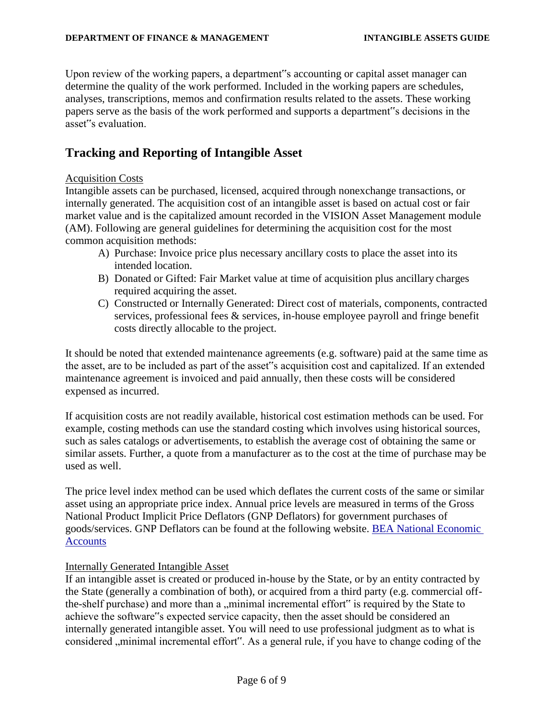Upon review of the working papers, a department"s accounting or capital asset manager can determine the quality of the work performed. Included in the working papers are schedules, analyses, transcriptions, memos and confirmation results related to the assets. These working papers serve as the basis of the work performed and supports a department"s decisions in the asset"s evaluation.

## **Tracking and Reporting of Intangible Asset**

## Acquisition Costs

Intangible assets can be purchased, licensed, acquired through nonexchange transactions, or internally generated. The acquisition cost of an intangible asset is based on actual cost or fair market value and is the capitalized amount recorded in the VISION Asset Management module (AM). Following are general guidelines for determining the acquisition cost for the most common acquisition methods:

- A) Purchase: Invoice price plus necessary ancillary costs to place the asset into its intended location.
- B) Donated or Gifted: Fair Market value at time of acquisition plus ancillary charges required acquiring the asset.
- C) Constructed or Internally Generated: Direct cost of materials, components, contracted services, professional fees & services, in-house employee payroll and fringe benefit costs directly allocable to the project.

It should be noted that extended maintenance agreements (e.g. software) paid at the same time as the asset, are to be included as part of the asset"s acquisition cost and capitalized. If an extended maintenance agreement is invoiced and paid annually, then these costs will be considered expensed as incurred.

If acquisition costs are not readily available, historical cost estimation methods can be used. For example, costing methods can use the standard costing which involves using historical sources, such as sales catalogs or advertisements, to establish the average cost of obtaining the same or similar assets. Further, a quote from a manufacturer as to the cost at the time of purchase may be used as well.

The price level index method can be used which deflates the current costs of the same or similar asset using an appropriate price index. Annual price levels are measured in terms of the Gross National Product Implicit Price Deflators (GNP Deflators) for government purchases of goods/services. GNP Deflators can be found at the following website. [BEA National Economic](http://www.bea.gov/national/index.htm) **[Accounts](http://www.bea.gov/national/index.htm)** 

## Internally Generated Intangible Asset

If an intangible asset is created or produced in-house by the State, or by an entity contracted by the State (generally a combination of both), or acquired from a third party (e.g. commercial offthe-shelf purchase) and more than a "minimal incremental effort" is required by the State to achieve the software"s expected service capacity, then the asset should be considered an internally generated intangible asset. You will need to use professional judgment as to what is considered , minimal incremental effort". As a general rule, if you have to change coding of the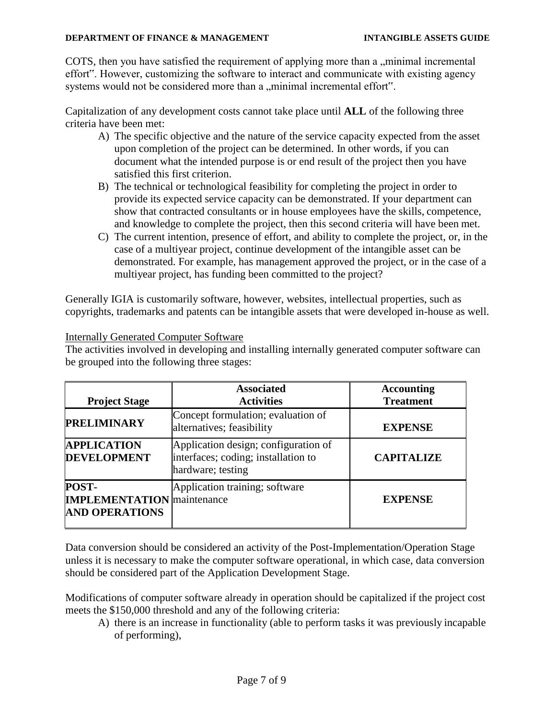COTS, then you have satisfied the requirement of applying more than a "minimal incremental effort". However, customizing the software to interact and communicate with existing agency systems would not be considered more than a ..minimal incremental effort".

Capitalization of any development costs cannot take place until **ALL** of the following three criteria have been met:

- A) The specific objective and the nature of the service capacity expected from the asset upon completion of the project can be determined. In other words, if you can document what the intended purpose is or end result of the project then you have satisfied this first criterion.
- B) The technical or technological feasibility for completing the project in order to provide its expected service capacity can be demonstrated. If your department can show that contracted consultants or in house employees have the skills, competence, and knowledge to complete the project, then this second criteria will have been met.
- C) The current intention, presence of effort, and ability to complete the project, or, in the case of a multiyear project, continue development of the intangible asset can be demonstrated. For example, has management approved the project, or in the case of a multiyear project, has funding been committed to the project?

Generally IGIA is customarily software, however, websites, intellectual properties, such as copyrights, trademarks and patents can be intangible assets that were developed in-house as well.

## Internally Generated Computer Software

The activities involved in developing and installing internally generated computer software can be grouped into the following three stages:

| <b>Project Stage</b>                                                | <b>Associated</b><br><b>Activities</b>                                                           | <b>Accounting</b><br><b>Treatment</b> |
|---------------------------------------------------------------------|--------------------------------------------------------------------------------------------------|---------------------------------------|
| <b>PRELIMINARY</b>                                                  | Concept formulation; evaluation of<br>alternatives; feasibility                                  | <b>EXPENSE</b>                        |
| <b>APPLICATION</b><br><b>DEVELOPMENT</b>                            | Application design; configuration of<br>interfaces; coding; installation to<br>hardware; testing | <b>CAPITALIZE</b>                     |
| POST-<br><b>IMPLEMENTATION</b> maintenance<br><b>AND OPERATIONS</b> | Application training; software                                                                   | <b>EXPENSE</b>                        |

Data conversion should be considered an activity of the Post-Implementation/Operation Stage unless it is necessary to make the computer software operational, in which case, data conversion should be considered part of the Application Development Stage.

Modifications of computer software already in operation should be capitalized if the project cost meets the \$150,000 threshold and any of the following criteria:

A) there is an increase in functionality (able to perform tasks it was previously incapable of performing),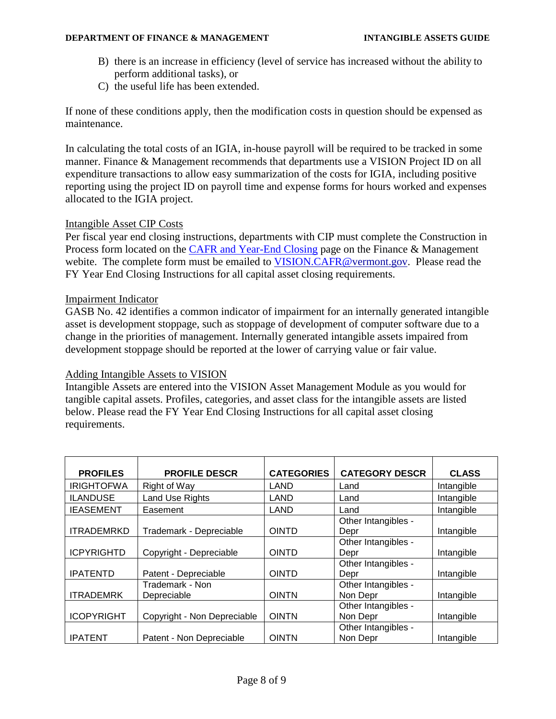#### **DEPARTMENT OF FINANCE & MANAGEMENT INTANGIBLE ASSETS GUIDE**

- B) there is an increase in efficiency (level of service has increased without the ability to perform additional tasks), or
- C) the useful life has been extended.

If none of these conditions apply, then the modification costs in question should be expensed as maintenance.

In calculating the total costs of an IGIA, in-house payroll will be required to be tracked in some manner. Finance & Management recommends that departments use a VISION Project ID on all expenditure transactions to allow easy summarization of the costs for IGIA, including positive reporting using the project ID on payroll time and expense forms for hours worked and expenses allocated to the IGIA project.

## Intangible Asset CIP Costs

Per fiscal year end closing instructions, departments with CIP must complete the Construction in Process form located on the **CAFR** and Year-End Closing page on the Finance & Management webite. The complete form must be emailed to [VISION.CAFR@v](mailto:VISION.CAFR@)ermont.gov. Please read the FY Year End Closing Instructions for all capital asset closing requirements.

## Impairment Indicator

GASB No. 42 identifies a common indicator of impairment for an internally generated intangible asset is development stoppage, such as stoppage of development of computer software due to a change in the priorities of management. Internally generated intangible assets impaired from development stoppage should be reported at the lower of carrying value or fair value.

## Adding Intangible Assets to VISION

Intangible Assets are entered into the VISION Asset Management Module as you would for tangible capital assets. Profiles, categories, and asset class for the intangible assets are listed below. Please read the FY Year End Closing Instructions for all capital asset closing requirements.

| <b>PROFILES</b>   | <b>PROFILE DESCR</b>        | <b>CATEGORIES</b> | <b>CATEGORY DESCR</b> | <b>CLASS</b> |
|-------------------|-----------------------------|-------------------|-----------------------|--------------|
| <b>IRIGHTOFWA</b> | Right of Way                | LAND              | Land                  | Intangible   |
|                   |                             |                   |                       |              |
| <b>ILANDUSE</b>   | Land Use Rights             | LAND              | Land                  | Intangible   |
| <b>IEASEMENT</b>  | Easement                    | LAND              | Land                  | Intangible   |
|                   |                             |                   | Other Intangibles -   |              |
| <b>ITRADEMRKD</b> | Trademark - Depreciable     | <b>OINTD</b>      | Depr                  | Intangible   |
|                   |                             |                   | Other Intangibles -   |              |
| <b>ICPYRIGHTD</b> | Copyright - Depreciable     | <b>OINTD</b>      | Depr                  | Intangible   |
|                   |                             |                   | Other Intangibles -   |              |
| <b>IPATENTD</b>   | Patent - Depreciable        | <b>OINTD</b>      | Depr                  | Intangible   |
|                   | Trademark - Non             |                   | Other Intangibles -   |              |
| <b>ITRADEMRK</b>  | Depreciable                 | <b>OINTN</b>      | Non Depr              | Intangible   |
|                   |                             |                   | Other Intangibles -   |              |
| <b>ICOPYRIGHT</b> | Copyright - Non Depreciable | <b>OINTN</b>      | Non Depr              | Intangible   |
|                   |                             |                   | Other Intangibles -   |              |
| <b>IPATENT</b>    | Patent - Non Depreciable    | <b>OINTN</b>      | Non Depr              | Intangible   |